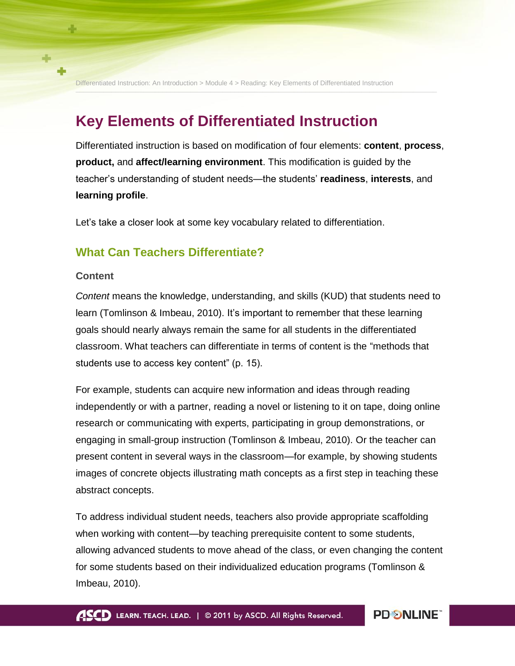Differentiated Instruction: An Introduction > Module 4 > Reading: Key Elements of Differentiated Instruction **\_\_\_\_\_\_\_\_\_\_\_\_\_\_\_\_\_\_\_\_\_\_\_\_\_\_\_\_\_\_\_\_\_\_\_\_\_\_\_\_\_\_\_\_\_\_\_\_\_\_\_\_\_\_\_\_\_\_\_\_\_\_\_\_\_\_\_\_\_\_\_\_\_\_\_\_\_\_\_\_\_\_\_\_\_\_\_\_\_\_\_**

# **Key Elements of Differentiated Instruction**

Differentiated instruction is based on modification of four elements: **content**, **process**, **product,** and **affect/learning environment**. This modification is guided by the teacher"s understanding of student needs—the students" **readiness**, **interests**, and **learning profile**.

Let"s take a closer look at some key vocabulary related to differentiation.

# **What Can Teachers Differentiate?**

#### **Content**

4

*Content* means the knowledge, understanding, and skills (KUD) that students need to learn (Tomlinson & Imbeau, 2010). It"s important to remember that these learning goals should nearly always remain the same for all students in the differentiated classroom. What teachers can differentiate in terms of content is the "methods that students use to access key content" (p. 15).

For example, students can acquire new information and ideas through reading independently or with a partner, reading a novel or listening to it on tape, doing online research or communicating with experts, participating in group demonstrations, or engaging in small-group instruction (Tomlinson & Imbeau, 2010). Or the teacher can present content in several ways in the classroom—for example, by showing students images of concrete objects illustrating math concepts as a first step in teaching these abstract concepts.

To address individual student needs, teachers also provide appropriate scaffolding when working with content—by teaching prerequisite content to some students, allowing advanced students to move ahead of the class, or even changing the content for some students based on their individualized education programs (Tomlinson & Imbeau, 2010).

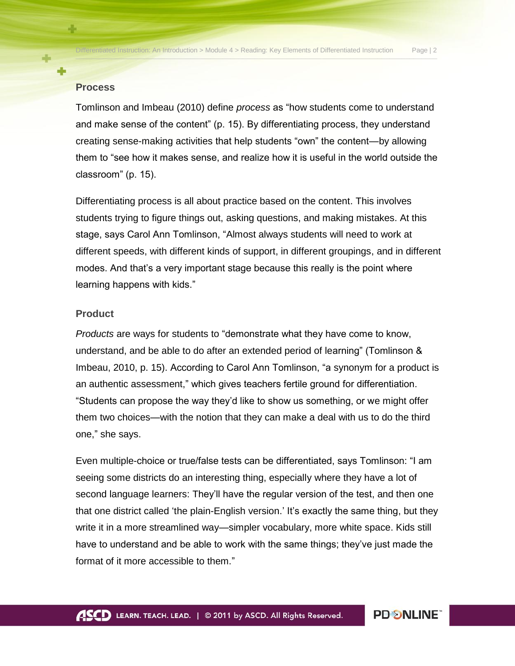### **Process**

45

Tomlinson and Imbeau (2010) define *process* as "how students come to understand and make sense of the content" (p. 15). By differentiating process, they understand creating sense-making activities that help students "own" the content—by allowing them to "see how it makes sense, and realize how it is useful in the world outside the classroom" (p. 15).

Differentiating process is all about practice based on the content. This involves students trying to figure things out, asking questions, and making mistakes. At this stage, says Carol Ann Tomlinson, "Almost always students will need to work at different speeds, with different kinds of support, in different groupings, and in different modes. And that"s a very important stage because this really is the point where learning happens with kids."

#### **Product**

*Products* are ways for students to "demonstrate what they have come to know, understand, and be able to do after an extended period of learning" (Tomlinson & Imbeau, 2010, p. 15). According to Carol Ann Tomlinson, "a synonym for a product is an authentic assessment," which gives teachers fertile ground for differentiation. "Students can propose the way they"d like to show us something, or we might offer them two choices—with the notion that they can make a deal with us to do the third one," she says.

Even multiple-choice or true/false tests can be differentiated, says Tomlinson: "I am seeing some districts do an interesting thing, especially where they have a lot of second language learners: They"ll have the regular version of the test, and then one that one district called "the plain-English version." It"s exactly the same thing, but they write it in a more streamlined way—simpler vocabulary, more white space. Kids still have to understand and be able to work with the same things; they"ve just made the format of it more accessible to them."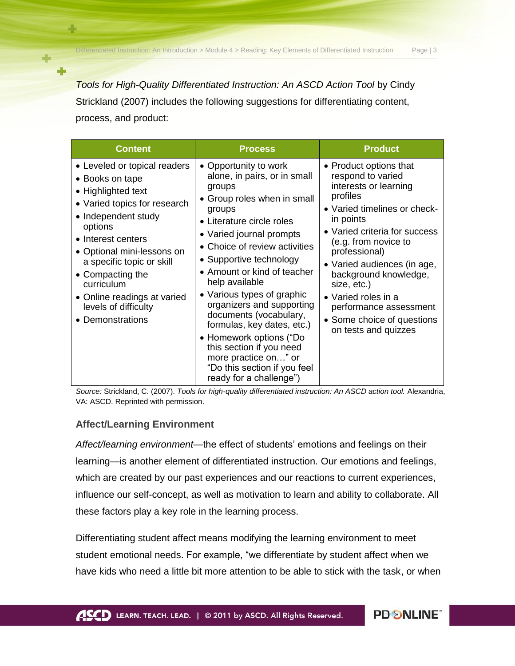*Tools for High-Quality Differentiated Instruction: An ASCD Action Tool* by Cindy Strickland (2007) includes the following suggestions for differentiating content, process, and product:

| <b>Content</b>                                                                                                                                                                                                                                                                                                                        | <b>Process</b>                                                                                                                                                                                                                                                                                                                                                                                                                                                                                                                              | <b>Product</b>                                                                                                                                                                                                                                                                                                                                                                        |
|---------------------------------------------------------------------------------------------------------------------------------------------------------------------------------------------------------------------------------------------------------------------------------------------------------------------------------------|---------------------------------------------------------------------------------------------------------------------------------------------------------------------------------------------------------------------------------------------------------------------------------------------------------------------------------------------------------------------------------------------------------------------------------------------------------------------------------------------------------------------------------------------|---------------------------------------------------------------------------------------------------------------------------------------------------------------------------------------------------------------------------------------------------------------------------------------------------------------------------------------------------------------------------------------|
| • Leveled or topical readers<br>• Books on tape<br>• Highlighted text<br>• Varied topics for research<br>• Independent study<br>options<br>• Interest centers<br>• Optional mini-lessons on<br>a specific topic or skill<br>• Compacting the<br>curriculum<br>• Online readings at varied<br>levels of difficulty<br>• Demonstrations | • Opportunity to work<br>alone, in pairs, or in small<br>groups<br>• Group roles when in small<br>groups<br>• Literature circle roles<br>• Varied journal prompts<br>• Choice of review activities<br>• Supportive technology<br>• Amount or kind of teacher<br>help available<br>• Various types of graphic<br>organizers and supporting<br>documents (vocabulary,<br>formulas, key dates, etc.)<br>• Homework options ("Do<br>this section if you need<br>more practice on" or<br>"Do this section if you feel<br>ready for a challenge") | • Product options that<br>respond to varied<br>interests or learning<br>profiles<br>• Varied timelines or check-<br>in points<br>• Varied criteria for success<br>(e.g. from novice to<br>professional)<br>• Varied audiences (in age,<br>background knowledge,<br>size, etc.)<br>• Varied roles in a<br>performance assessment<br>• Some choice of questions<br>on tests and quizzes |

*Source:* Strickland, C. (2007). *Tools for high-quality differentiated instruction: An ASCD action tool.* Alexandria, VA: ASCD. Reprinted with permission.

## **Affect/Learning Environment**

45

÷

*Affect/learning environment*—the effect of students" emotions and feelings on their learning—is another element of differentiated instruction. Our emotions and feelings, which are created by our past experiences and our reactions to current experiences, influence our self-concept, as well as motivation to learn and ability to collaborate. All these factors play a key role in the learning process.

Differentiating student affect means modifying the learning environment to meet student emotional needs. For example, "we differentiate by student affect when we have kids who need a little bit more attention to be able to stick with the task, or when

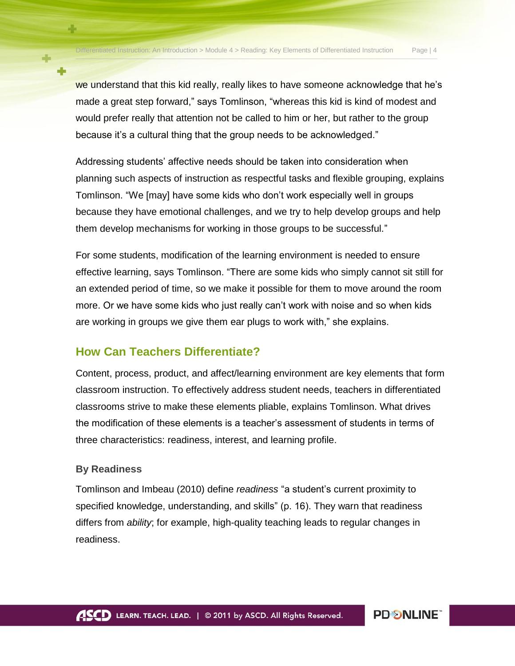**PD SNLINE** 

we understand that this kid really, really likes to have someone acknowledge that he's made a great step forward," says Tomlinson, "whereas this kid is kind of modest and would prefer really that attention not be called to him or her, but rather to the group because it"s a cultural thing that the group needs to be acknowledged."

Addressing students" affective needs should be taken into consideration when planning such aspects of instruction as respectful tasks and flexible grouping, explains Tomlinson. "We [may] have some kids who don"t work especially well in groups because they have emotional challenges, and we try to help develop groups and help them develop mechanisms for working in those groups to be successful."

For some students, modification of the learning environment is needed to ensure effective learning, says Tomlinson. "There are some kids who simply cannot sit still for an extended period of time, so we make it possible for them to move around the room more. Or we have some kids who just really can"t work with noise and so when kids are working in groups we give them ear plugs to work with," she explains.

# **How Can Teachers Differentiate?**

Content, process, product, and affect/learning environment are key elements that form classroom instruction. To effectively address student needs, teachers in differentiated classrooms strive to make these elements pliable, explains Tomlinson. What drives the modification of these elements is a teacher"s assessment of students in terms of three characteristics: readiness, interest, and learning profile.

## **By Readiness**

45

Tomlinson and Imbeau (2010) define *readiness* "a student"s current proximity to specified knowledge, understanding, and skills" (p. 16). They warn that readiness differs from *ability*; for example, high-quality teaching leads to regular changes in readiness.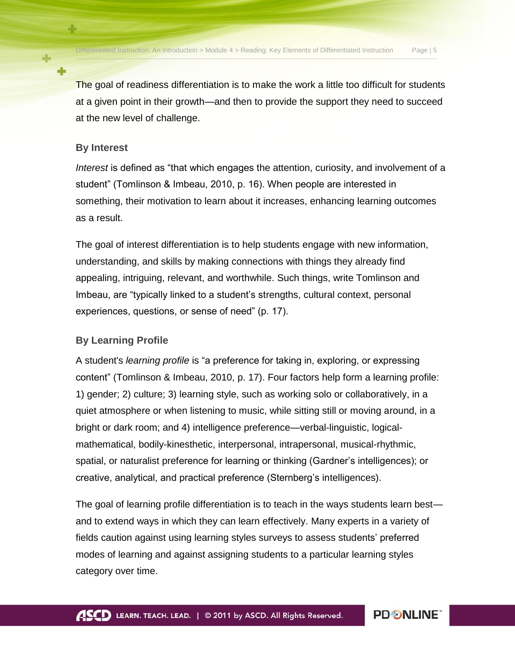The goal of readiness differentiation is to make the work a little too difficult for students at a given point in their growth—and then to provide the support they need to succeed at the new level of challenge.

### **By Interest**

45

*Interest* is defined as "that which engages the attention, curiosity, and involvement of a student" (Tomlinson & Imbeau, 2010, p. 16). When people are interested in something, their motivation to learn about it increases, enhancing learning outcomes as a result.

The goal of interest differentiation is to help students engage with new information, understanding, and skills by making connections with things they already find appealing, intriguing, relevant, and worthwhile. Such things, write Tomlinson and Imbeau, are "typically linked to a student"s strengths, cultural context, personal experiences, questions, or sense of need" (p. 17).

### **By Learning Profile**

A student's *learning profile* is "a preference for taking in, exploring, or expressing content" (Tomlinson & Imbeau, 2010, p. 17). Four factors help form a learning profile: 1) gender; 2) culture; 3) learning style, such as working solo or collaboratively, in a quiet atmosphere or when listening to music, while sitting still or moving around, in a bright or dark room; and 4) intelligence preference—verbal-linguistic, logicalmathematical, bodily-kinesthetic, interpersonal, intrapersonal, musical-rhythmic, spatial, or naturalist preference for learning or thinking (Gardner"s intelligences); or creative, analytical, and practical preference (Sternberg"s intelligences).

The goal of learning profile differentiation is to teach in the ways students learn best and to extend ways in which they can learn effectively. Many experts in a variety of fields caution against using learning styles surveys to assess students" preferred modes of learning and against assigning students to a particular learning styles category over time.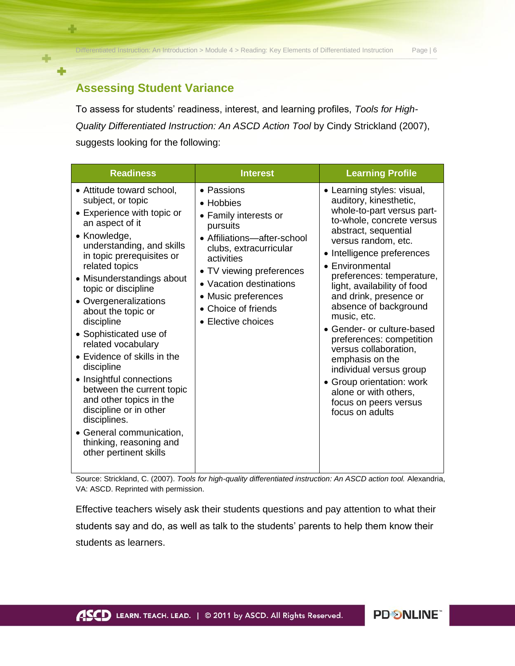Differentiated Instruction: An Introduction > Module 4 > Reading: Key Elements of Differentiated Instruction Page | 6

**PDSNLINE** 

# **Assessing Student Variance**

÷

÷

To assess for students" readiness, interest, and learning profiles, *Tools for High-Quality Differentiated Instruction: An ASCD Action Tool* by Cindy Strickland (2007), suggests looking for the following:

| <b>Readiness</b>                                                                                                                                                                                                                                                                                                                                                                                                                                                                                                                                                                                                         | <b>Interest</b>                                                                                                                                                                                                                                                | <b>Learning Profile</b>                                                                                                                                                                                                                                                                                                                                                                                                                                                                                                                                                          |
|--------------------------------------------------------------------------------------------------------------------------------------------------------------------------------------------------------------------------------------------------------------------------------------------------------------------------------------------------------------------------------------------------------------------------------------------------------------------------------------------------------------------------------------------------------------------------------------------------------------------------|----------------------------------------------------------------------------------------------------------------------------------------------------------------------------------------------------------------------------------------------------------------|----------------------------------------------------------------------------------------------------------------------------------------------------------------------------------------------------------------------------------------------------------------------------------------------------------------------------------------------------------------------------------------------------------------------------------------------------------------------------------------------------------------------------------------------------------------------------------|
| • Attitude toward school,<br>subject, or topic<br>• Experience with topic or<br>an aspect of it<br>• Knowledge,<br>understanding, and skills<br>in topic prerequisites or<br>related topics<br>• Misunderstandings about<br>topic or discipline<br>• Overgeneralizations<br>about the topic or<br>discipline<br>• Sophisticated use of<br>related vocabulary<br>• Evidence of skills in the<br>discipline<br>• Insightful connections<br>between the current topic<br>and other topics in the<br>discipline or in other<br>disciplines.<br>• General communication,<br>thinking, reasoning and<br>other pertinent skills | • Passions<br>• Hobbies<br>• Family interests or<br>pursuits<br>• Affiliations-after-school<br>clubs, extracurricular<br>activities<br>• TV viewing preferences<br>• Vacation destinations<br>• Music preferences<br>• Choice of friends<br>• Elective choices | • Learning styles: visual,<br>auditory, kinesthetic,<br>whole-to-part versus part-<br>to-whole, concrete versus<br>abstract, sequential<br>versus random, etc.<br>• Intelligence preferences<br>• Environmental<br>preferences: temperature,<br>light, availability of food<br>and drink, presence or<br>absence of background<br>music, etc.<br>• Gender- or culture-based<br>preferences: competition<br>versus collaboration,<br>emphasis on the<br>individual versus group<br>• Group orientation: work<br>alone or with others,<br>focus on peers versus<br>focus on adults |

Source: Strickland, C. (2007). *Tools for high-quality differentiated instruction: An ASCD action tool.* Alexandria, VA: ASCD. Reprinted with permission.

Effective teachers wisely ask their students questions and pay attention to what their students say and do, as well as talk to the students' parents to help them know their students as learners.